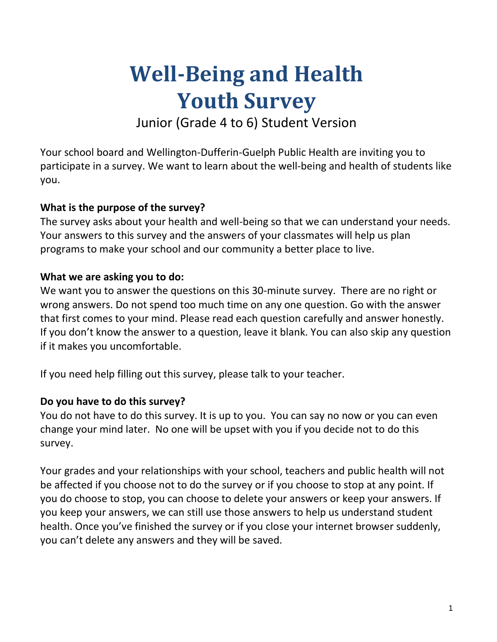# **Well-Being and Health Youth Survey**

Junior (Grade 4 to 6) Student Version

Your school board and Wellington-Dufferin-Guelph Public Health are inviting you to participate in a survey. We want to learn about the well-being and health of students like you.

# **What is the purpose of the survey?**

The survey asks about your health and well-being so that we can understand your needs. Your answers to this survey and the answers of your classmates will help us plan programs to make your school and our community a better place to live.

# **What we are asking you to do:**

We want you to answer the questions on this 30-minute survey. There are no right or wrong answers. Do not spend too much time on any one question. Go with the answer that first comes to your mind. Please read each question carefully and answer honestly. If you don't know the answer to a question, leave it blank. You can also skip any question if it makes you uncomfortable.

If you need help filling out this survey, please talk to your teacher.

# **Do you have to do this survey?**

You do not have to do this survey. It is up to you. You can say no now or you can even change your mind later. No one will be upset with you if you decide not to do this survey.

Your grades and your relationships with your school, teachers and public health will not be affected if you choose not to do the survey or if you choose to stop at any point. If you do choose to stop, you can choose to delete your answers or keep your answers. If you keep your answers, we can still use those answers to help us understand student health. Once you've finished the survey or if you close your internet browser suddenly, you can't delete any answers and they will be saved.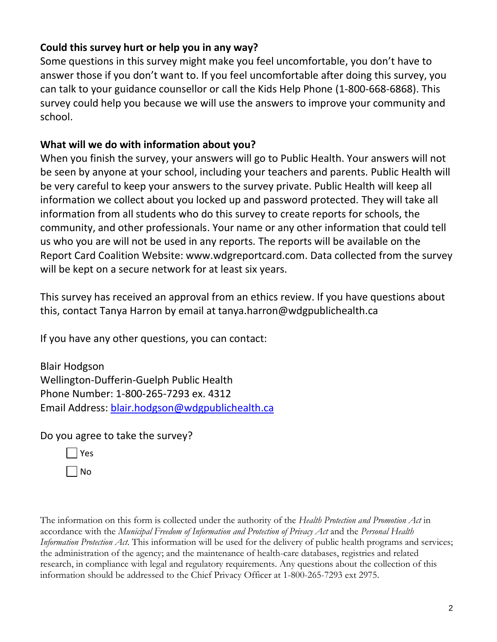# **Could this survey hurt or help you in any way?**

Some questions in this survey might make you feel uncomfortable, you don't have to answer those if you don't want to. If you feel uncomfortable after doing this survey, you can talk to your guidance counsellor or call the Kids Help Phone (1-800-668-6868). This survey could help you because we will use the answers to improve your community and school.

# **What will we do with information about you?**

When you finish the survey, your answers will go to Public Health. Your answers will not be seen by anyone at your school, including your teachers and parents. Public Health will be very careful to keep your answers to the survey private. Public Health will keep all information we collect about you locked up and password protected. They will take all information from all students who do this survey to create reports for schools, the community, and other professionals. Your name or any other information that could tell us who you are will not be used in any reports. The reports will be available on the Report Card Coalition Website: www.wdgreportcard.com. Data collected from the survey will be kept on a secure network for at least six years.

This survey has received an approval from an ethics review. If you have questions about this, contact Tanya Harron by email at tanya.harron@wdgpublichealth.ca

If you have any other questions, you can contact:

Blair Hodgson Wellington-Dufferin-Guelph Public Health Phone Number: 1-800-265-7293 ex. 4312 Email Address: [blair.hodgson@wdgpublichealth.ca](mailto:blair.hodgson@wdgpublichealth.ca)

Do you agree to take the survey?

| I | Yes    |
|---|--------|
|   | N<br>ი |

The information on this form is collected under the authority of the *Health Protection and Promotion Act* in accordance with the *Municipal Freedom of Information and Protection of Privacy Act* and the *Personal Health Information Protection Act*. This information will be used for the delivery of public health programs and services; the administration of the agency; and the maintenance of health-care databases, registries and related research, in compliance with legal and regulatory requirements. Any questions about the collection of this information should be addressed to the Chief Privacy Officer at 1-800-265-7293 ext 2975.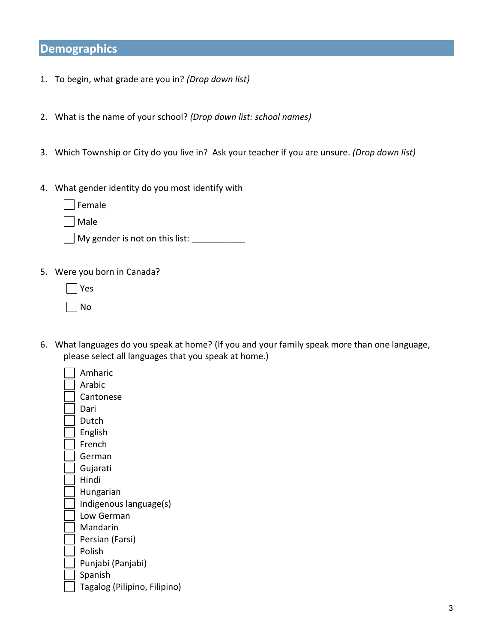# **Demographics**

- 1. To begin, what grade are you in? *(Drop down list)*
- 2. What is the name of your school? *(Drop down list: school names)*
- 3. Which Township or City do you live in? Ask your teacher if you are unsure. *(Drop down list)*
- 4. What gender identity do you most identify with
	- Female
	- Male
	- $\Box$  My gender is not on this list:
- 5. Were you born in Canada?
	- Yes
	- No
- 6. What languages do you speak at home? (If you and your family speak more than one language, please select all languages that you speak at home.)
	- Amharic Arabic Cantonese Dari Dutch English French German Gujarati Hindi Hungarian Indigenous language(s) Low German Mandarin Persian (Farsi) Polish Punjabi (Panjabi) Spanish Tagalog (Pilipino, Filipino)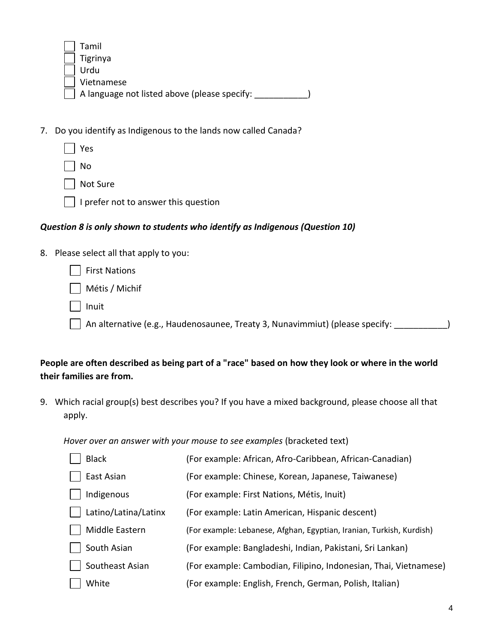| Tamil                                        |
|----------------------------------------------|
| $\vert$ Tigrinya                             |
| Urdu                                         |
| Vietnamese                                   |
| A language not listed above (please specify: |

7. Do you identify as Indigenous to the lands now called Canada?

- Yes
	- No

Not Sure

 $\Box$  I prefer not to answer this question

## *Question 8 is only shown to students who identify as Indigenous (Question 10)*

8. Please select all that apply to you:

| First Nations                                                                    |  |
|----------------------------------------------------------------------------------|--|
| Métis / Michif                                                                   |  |
| Inuit                                                                            |  |
| An alternative (e.g., Haudenosaunee, Treaty 3, Nunavimmiut) (please specify: ___ |  |

# **People are often described as being part of a "race" based on how they look or where in the world their families are from.**

9. Which racial group(s) best describes you? If you have a mixed background, please choose all that apply.

*Hover over an answer with your mouse to see examples* (bracketed text)

| <b>Black</b>         | (For example: African, Afro-Caribbean, African-Canadian)             |
|----------------------|----------------------------------------------------------------------|
| East Asian           | (For example: Chinese, Korean, Japanese, Taiwanese)                  |
| Indigenous           | (For example: First Nations, Métis, Inuit)                           |
| Latino/Latina/Latinx | (For example: Latin American, Hispanic descent)                      |
| Middle Eastern       | (For example: Lebanese, Afghan, Egyptian, Iranian, Turkish, Kurdish) |
| South Asian          | (For example: Bangladeshi, Indian, Pakistani, Sri Lankan)            |
| Southeast Asian      | (For example: Cambodian, Filipino, Indonesian, Thai, Vietnamese)     |
| White                | (For example: English, French, German, Polish, Italian)              |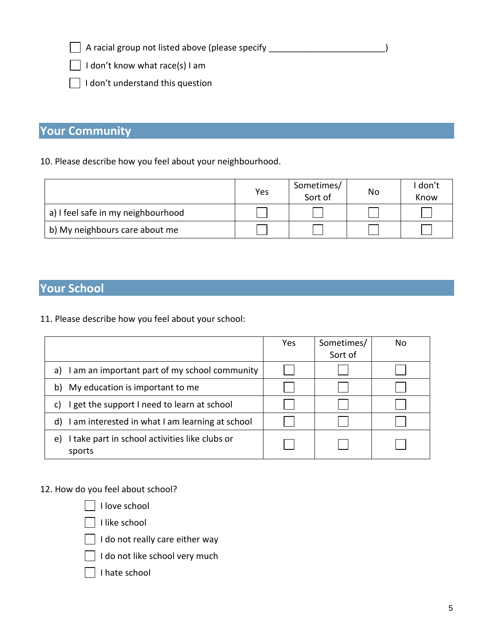$\Box$  A racial group not listed above (please specify \_\_\_\_\_\_\_\_\_\_\_\_\_\_\_\_\_\_\_\_\_\_\_\_\_\_\_)

 $\exists$  I don't know what race(s) I am

 $\Box$  I don't understand this question

# **Your Community**

10. Please describe how you feel about your neighbourhood.

|                                    | Yes | Sometimes/<br>Sort of | No | I don't<br>Know |
|------------------------------------|-----|-----------------------|----|-----------------|
| a) I feel safe in my neighbourhood |     |                       |    |                 |
| b) My neighbours care about me     |     |                       |    |                 |

# **Your School**

11. Please describe how you feel about your school:

|                                                                | Yes | Sometimes/<br>Sort of | No |
|----------------------------------------------------------------|-----|-----------------------|----|
| am an important part of my school community<br>a)              |     |                       |    |
| My education is important to me<br>b)                          |     |                       |    |
| get the support I need to learn at school<br>C)                |     |                       |    |
| I am interested in what I am learning at school<br>d)          |     |                       |    |
| I take part in school activities like clubs or<br>e)<br>sports |     |                       |    |

12. How do you feel about school?

 $\Box$  I love school

I like school

 $\Box$  I do not really care either way

 $\Box$  I do not like school very much

 $\Box$  I hate school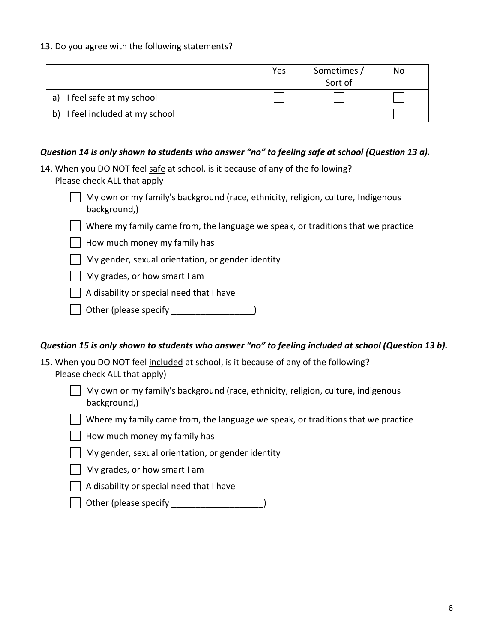#### 13. Do you agree with the following statements?

|                                    | Yes | Sometimes<br>Sort of | No |
|------------------------------------|-----|----------------------|----|
| I feel safe at my school<br>a)     |     |                      |    |
| I feel included at my school<br>b) |     |                      |    |

#### *Question 14 is only shown to students who answer "no" to feeling safe at school (Question 13 a).*

- 14. When you DO NOT feel safe at school, is it because of any of the following? Please check ALL that apply
	- My own or my family's background (race, ethnicity, religion, culture, Indigenous background,)
	- $\Box$  Where my family came from, the language we speak, or traditions that we practice
	- How much money my family has
	- My gender, sexual orientation, or gender identity
	- My grades, or how smart I am
	- A disability or special need that I have
	- Other (please specify \_\_\_\_\_\_\_\_\_\_\_\_\_\_\_\_\_\_)

#### *Question 15 is only shown to students who answer "no" to feeling included at school (Question 13 b).*

- 15. When you DO NOT feel included at school, is it because of any of the following? Please check ALL that apply)
	- My own or my family's background (race, ethnicity, religion, culture, indigenous background,)
	- Where my family came from, the language we speak, or traditions that we practice
	- How much money my family has
	- My gender, sexual orientation, or gender identity
	- My grades, or how smart I am
	- A disability or special need that I have
	- Other (please specify \_\_\_\_\_\_\_\_\_\_\_\_\_\_\_\_\_\_\_)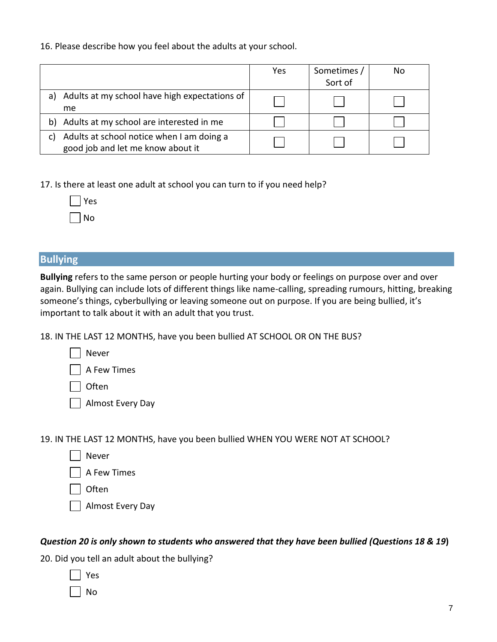16. Please describe how you feel about the adults at your school.

|                                                                                      | Yes | Sometimes /<br>Sort of | No |
|--------------------------------------------------------------------------------------|-----|------------------------|----|
| Adults at my school have high expectations of<br>a)<br>me                            |     |                        |    |
| Adults at my school are interested in me<br>b)                                       |     |                        |    |
| Adults at school notice when I am doing a<br>C)<br>good job and let me know about it |     |                        |    |

17. Is there at least one adult at school you can turn to if you need help?

|                          | Y<br>s<br>е |
|--------------------------|-------------|
| $\overline{\phantom{a}}$ | N<br>n      |

## **Bullying**

**Bullying** refers to the same person or people hurting your body or feelings on purpose over and over again. Bullying can include lots of different things like name-calling, spreading rumours, hitting, breaking someone's things, cyberbullying or leaving someone out on purpose. If you are being bullied, it's important to talk about it with an adult that you trust.

18. IN THE LAST 12 MONTHS, have you been bullied AT SCHOOL OR ON THE BUS?

| Never |
|-------|
|       |

A Few Times

**Often** 

Almost Every Day

19. IN THE LAST 12 MONTHS, have you been bullied WHEN YOU WERE NOT AT SCHOOL?

Never

A Few Times

**Often** 

Almost Every Day

#### *Question 20 is only shown to students who answered that they have been bullied (Questions 18 & 19***)**

20. Did you tell an adult about the bullying?

No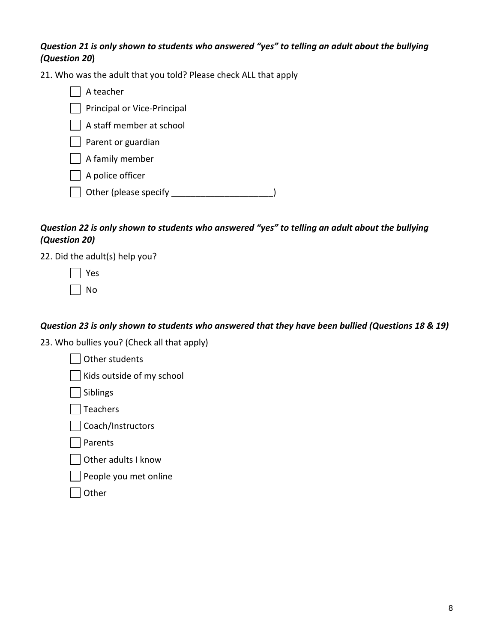## *Question 21 is only shown to students who answered "yes" to telling an adult about the bullying (Question 20***)**

21. Who was the adult that you told? Please check ALL that apply

| A teacher                   |  |
|-----------------------------|--|
| Principal or Vice-Principal |  |
| A staff member at school    |  |
| Parent or guardian          |  |
| A family member             |  |
| A police officer            |  |
| Other (please specify       |  |
|                             |  |

# *Question 22 is only shown to students who answered "yes" to telling an adult about the bullying (Question 20)*

22. Did the adult(s) help you?

| Yes |
|-----|
| N٥  |

# *Question 23 is only shown to students who answered that they have been bullied (Questions 18 & 19)*

23. Who bullies you? (Check all that apply)

| Other students            |
|---------------------------|
| Kids outside of my school |
| Siblings                  |
| Teachers                  |
| Coach/Instructors         |
| Parents                   |
| Other adults I know       |
|                           |

People you met online

| тп<br>r |
|---------|
|---------|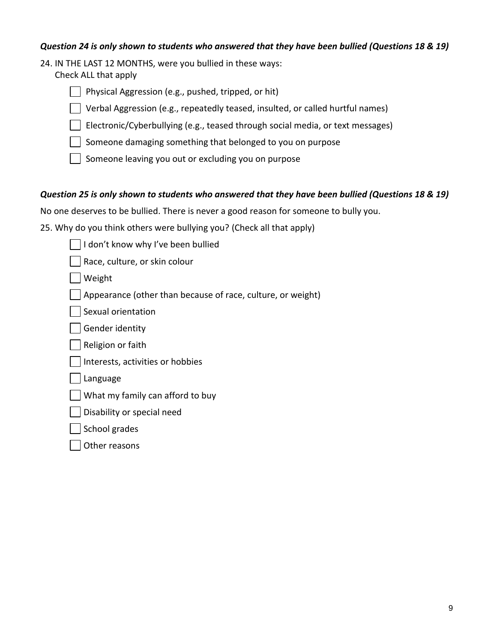#### *Question 24 is only shown to students who answered that they have been bullied (Questions 18 & 19)*

24. IN THE LAST 12 MONTHS, were you bullied in these ways:

Check ALL that apply



Verbal Aggression (e.g., repeatedly teased, insulted, or called hurtful names)

Electronic/Cyberbullying (e.g., teased through social media, or text messages)

Someone damaging something that belonged to you on purpose

Someone leaving you out or excluding you on purpose

#### *Question 25 is only shown to students who answered that they have been bullied (Questions 18 & 19)*

No one deserves to be bullied. There is never a good reason for someone to bully you.

25. Why do you think others were bullying you? (Check all that apply)

I don't know why I've been bullied

Race, culture, or skin colour

Weight

Appearance (other than because of race, culture, or weight)

Sexual orientation

Gender identity

Religion or faith

Interests, activities or hobbies

Language

What my family can afford to buy

Disability or special need

School grades

Other reasons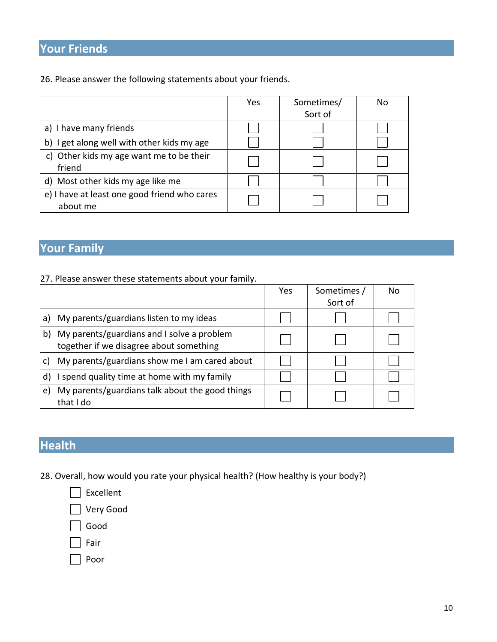# **Your Friends**

26. Please answer the following statements about your friends.

|                                                          | Yes | Sometimes/<br>Sort of | No |
|----------------------------------------------------------|-----|-----------------------|----|
| I have many friends<br>a)                                |     |                       |    |
| b) I get along well with other kids my age               |     |                       |    |
| c) Other kids my age want me to be their<br>friend       |     |                       |    |
| d) Most other kids my age like me                        |     |                       |    |
| e) I have at least one good friend who cares<br>about me |     |                       |    |

# **Your Family**

## 27. Please answer these statements about your family.

|    |                                                                                       | Yes | Sometimes /<br>Sort of | No |
|----|---------------------------------------------------------------------------------------|-----|------------------------|----|
| a) | My parents/guardians listen to my ideas                                               |     |                        |    |
| b) | My parents/guardians and I solve a problem<br>together if we disagree about something |     |                        |    |
| C) | My parents/guardians show me I am cared about                                         |     |                        |    |
| d) | I spend quality time at home with my family                                           |     |                        |    |
| e) | My parents/guardians talk about the good things<br>that I do                          |     |                        |    |

# **Health**

28. Overall, how would you rate your physical health? (How healthy is your body?)



Poor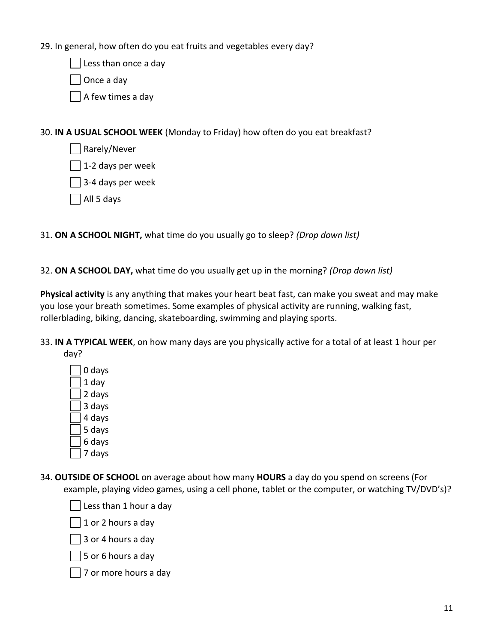29. In general, how often do you eat fruits and vegetables every day?

Less than once a day

Once a day

A few times a day

30. **IN A USUAL SCHOOL WEEK** (Monday to Friday) how often do you eat breakfast?

- Rarely/Never
- 1-2 days per week
- 3-4 days per week
- All 5 days

31. **ON A SCHOOL NIGHT,** what time do you usually go to sleep? *(Drop down list)*

32. **ON A SCHOOL DAY,** what time do you usually get up in the morning? *(Drop down list)*

**Physical activity** is any anything that makes your heart beat fast, can make you sweat and may make you lose your breath sometimes. Some examples of physical activity are running, walking fast, rollerblading, biking, dancing, skateboarding, swimming and playing sports.

- 33. **IN A TYPICAL WEEK**, on how many days are you physically active for a total of at least 1 hour per day?
	- 0 days 1 day 2 days 3 days 4 days 5 days
	- 6 days
	- 7 days
- 34. **OUTSIDE OF SCHOOL** on average about how many **HOURS** a day do you spend on screens (For example, playing video games, using a cell phone, tablet or the computer, or watching TV/DVD's)?

Less than 1 hour a day

1 or 2 hours a day

3 or 4 hours a day

5 or 6 hours a day

 $\Box$  7 or more hours a day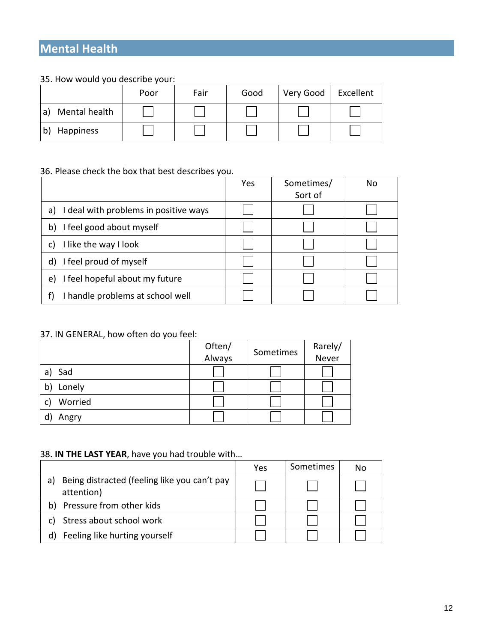# **Mental Health**

#### 35. How would you describe your:

|                    | Poor | Fair | Good | Very Good | Excellent |
|--------------------|------|------|------|-----------|-----------|
| Mental health<br>a |      |      |      |           |           |
| Happiness          |      |      |      |           |           |

## 36. Please check the box that best describes you.

| Yes | Sometimes/ | Nο |
|-----|------------|----|
|     | Sort of    |    |
|     |            |    |
|     |            |    |
|     |            |    |
|     |            |    |
|     |            |    |
|     |            |    |
|     |            |    |

## 37. IN GENERAL, how often do you feel:

|               | Often/<br>Always | Sometimes | Rarely/<br>Never |
|---------------|------------------|-----------|------------------|
| Sad<br>a)     |                  |           |                  |
| Lonely<br>b   |                  |           |                  |
| Worried<br>C) |                  |           |                  |
| Angry         |                  |           |                  |

#### 38. **IN THE LAST YEAR**, have you had trouble with…

|                                                                  | Yes | Sometimes | No |
|------------------------------------------------------------------|-----|-----------|----|
| Being distracted (feeling like you can't pay<br>a)<br>attention) |     |           |    |
| Pressure from other kids<br>b)                                   |     |           |    |
| Stress about school work                                         |     |           |    |
| Feeling like hurting yourself                                    |     |           |    |